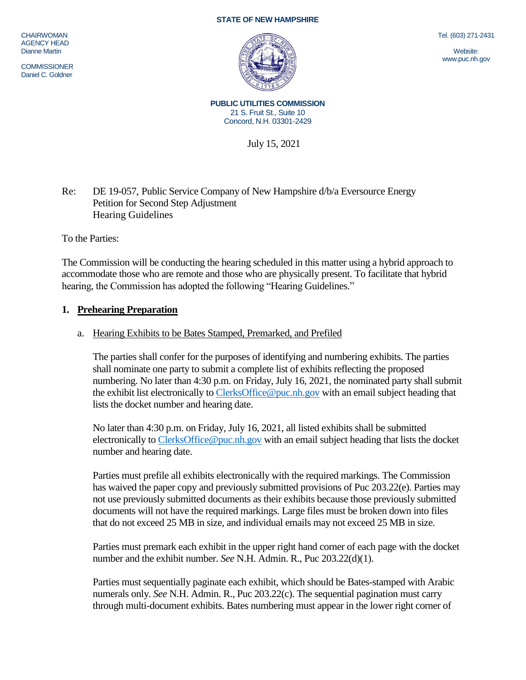#### **STATE OF NEW HAMPSHIRE**

**CHAIRWOMAN** AGENCY HEAD Dianne Martin

**COMMISSIONER** Daniel C. Goldner



Tel. (603) 271-2431

Website: www.puc.nh.gov

**PUBLIC UTILITIES COMMISSION** 21 S. Fruit St., Suite 10 Concord, N.H. 03301-2429

July 15, 2021

## Re: DE 19-057, Public Service Company of New Hampshire d/b/a Eversource Energy Petition for Second Step Adjustment Hearing Guidelines

To the Parties:

The Commission will be conducting the hearing scheduled in this matter using a hybrid approach to accommodate those who are remote and those who are physically present. To facilitate that hybrid hearing, the Commission has adopted the following "Hearing Guidelines."

#### **1. Prehearing Preparation**

#### a. Hearing Exhibits to be Bates Stamped, Premarked, and Prefiled

The parties shall confer for the purposes of identifying and numbering exhibits. The parties shall nominate one party to submit a complete list of exhibits reflecting the proposed numbering. No later than 4:30 p.m. on Friday, July 16, 2021, the nominated party shall submit the exhibit list electronically t[o ClerksOffice@puc.nh.gov](mailto:ClerksOffice@puc.nh.gov) with an email subject heading that lists the docket number and hearing date.

No later than 4:30 p.m. on Friday, July 16, 2021, all listed exhibits shall be submitted electronically to [ClerksOffice@puc.nh.gov](mailto:Clerks.Office@puc.nh.gov) with an email subject heading that lists the docket number and hearing date.

Parties must prefile all exhibits electronically with the required markings. The Commission has waived the paper copy and previously submitted provisions of Puc 203.22(e). Parties may not use previously submitted documents as their exhibits because those previously submitted documents will not have the required markings. Large files must be broken down into files that do not exceed 25 MB in size, and individual emails may not exceed 25 MB in size.

Parties must premark each exhibit in the upper right hand corner of each page with the docket number and the exhibit number. *See* N.H. Admin. R., Puc 203.22(d)(1).

Parties must sequentially paginate each exhibit, which should be Bates-stamped with Arabic numerals only. *See* N.H. Admin. R., Puc 203.22(c). The sequential pagination must carry through multi-document exhibits. Bates numbering must appear in the lower right corner of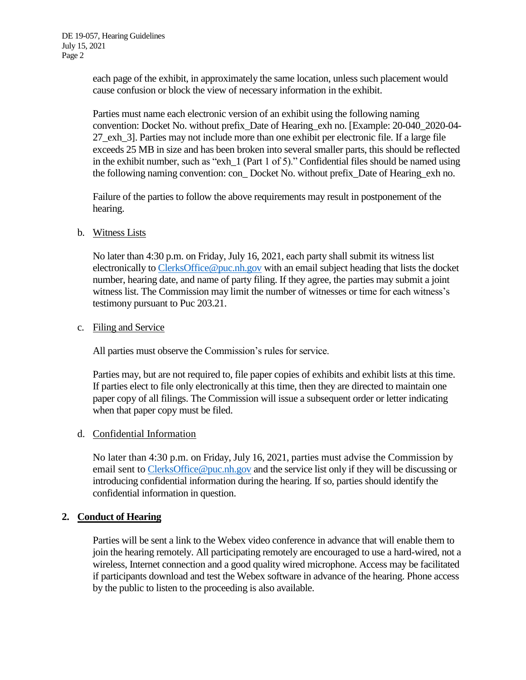each page of the exhibit, in approximately the same location, unless such placement would cause confusion or block the view of necessary information in the exhibit.

Parties must name each electronic version of an exhibit using the following naming convention: Docket No. without prefix\_Date of Hearing\_exh no. [Example: 20-040\_2020-04- 27\_exh\_3]. Parties may not include more than one exhibit per electronic file. If a large file exceeds 25 MB in size and has been broken into several smaller parts, this should be reflected in the exhibit number, such as "exh\_1 (Part 1 of 5)." Confidential files should be named using the following naming convention: con\_ Docket No. without prefix\_Date of Hearing\_exh no.

Failure of the parties to follow the above requirements may result in postponement of the hearing.

## b. Witness Lists

No later than 4:30 p.m. on Friday, July 16, 2021, each party shall submit its witness list electronically to [ClerksOffice@puc.nh.gov](mailto:Clerks.Office@puc.nh.gov) with an email subject heading that lists the docket number, hearing date, and name of party filing. If they agree, the parties may submit a joint witness list. The Commission may limit the number of witnesses or time for each witness's testimony pursuant to Puc 203.21.

#### c. Filing and Service

All parties must observe the Commission's rules for service.

Parties may, but are not required to, file paper copies of exhibits and exhibit lists at this time. If parties elect to file only electronically at this time, then they are directed to maintain one paper copy of all filings. The Commission will issue a subsequent order or letter indicating when that paper copy must be filed.

# d. Confidential Information

No later than 4:30 p.m. on Friday, July 16, 2021, parties must advise the Commission by email sent to [ClerksOffice@puc.nh.gov](mailto:Clerks.Office@puc.nh.gov) and the service list only if they will be discussing or introducing confidential information during the hearing. If so, parties should identify the confidential information in question.

# **2. Conduct of Hearing**

Parties will be sent a link to the Webex video conference in advance that will enable them to join the hearing remotely. All participating remotely are encouraged to use a hard-wired, not a wireless, Internet connection and a good quality wired microphone. Access may be facilitated if participants download and test the Webex software in advance of the hearing. Phone access by the public to listen to the proceeding is also available.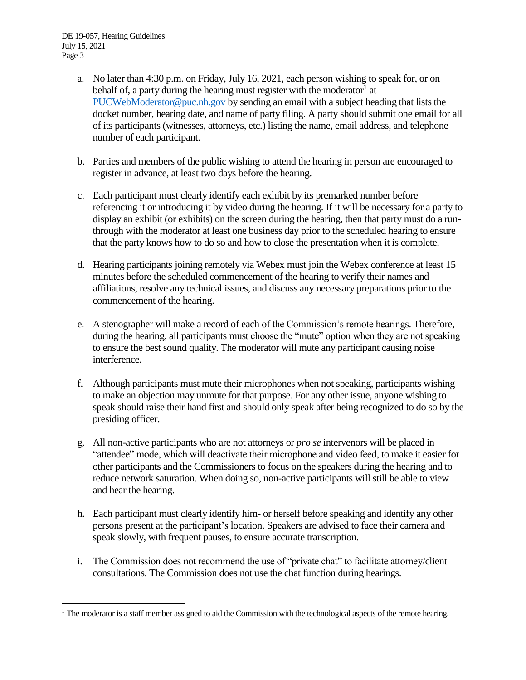$\overline{a}$ 

- a. No later than 4:30 p.m. on Friday, July 16, 2021, each person wishing to speak for, or on behalf of, a party during the hearing must register with the moderator<sup>1</sup> at [PUCWebModerator@puc.nh.gov](mailto:PUCWebModerator@puc.nh.gov) by sending an email with a subject heading that lists the docket number, hearing date, and name of party filing. A party should submit one email for all of its participants (witnesses, attorneys, etc.) listing the name, email address, and telephone number of each participant.
- b. Parties and members of the public wishing to attend the hearing in person are encouraged to register in advance, at least two days before the hearing.
- c. Each participant must clearly identify each exhibit by its premarked number before referencing it or introducing it by video during the hearing. If it will be necessary for a party to display an exhibit (or exhibits) on the screen during the hearing, then that party must do a runthrough with the moderator at least one business day prior to the scheduled hearing to ensure that the party knows how to do so and how to close the presentation when it is complete.
- d. Hearing participants joining remotely via Webex must join the Webex conference at least 15 minutes before the scheduled commencement of the hearing to verify their names and affiliations, resolve any technical issues, and discuss any necessary preparations prior to the commencement of the hearing.
- e. A stenographer will make a record of each of the Commission's remote hearings. Therefore, during the hearing, all participants must choose the "mute" option when they are not speaking to ensure the best sound quality. The moderator will mute any participant causing noise interference.
- f. Although participants must mute their microphones when not speaking, participants wishing to make an objection may unmute for that purpose. For any other issue, anyone wishing to speak should raise their hand first and should only speak after being recognized to do so by the presiding officer.
- g. All non-active participants who are not attorneys or *pro se* intervenors will be placed in "attendee" mode, which will deactivate their microphone and video feed, to make it easier for other participants and the Commissioners to focus on the speakers during the hearing and to reduce network saturation. When doing so, non-active participants will still be able to view and hear the hearing.
- h. Each participant must clearly identify him- or herself before speaking and identify any other persons present at the participant's location. Speakers are advised to face their camera and speak slowly, with frequent pauses, to ensure accurate transcription.
- i. The Commission does not recommend the use of "private chat" to facilitate attorney/client consultations. The Commission does not use the chat function during hearings.

<sup>&</sup>lt;sup>1</sup> The moderator is a staff member assigned to aid the Commission with the technological aspects of the remote hearing.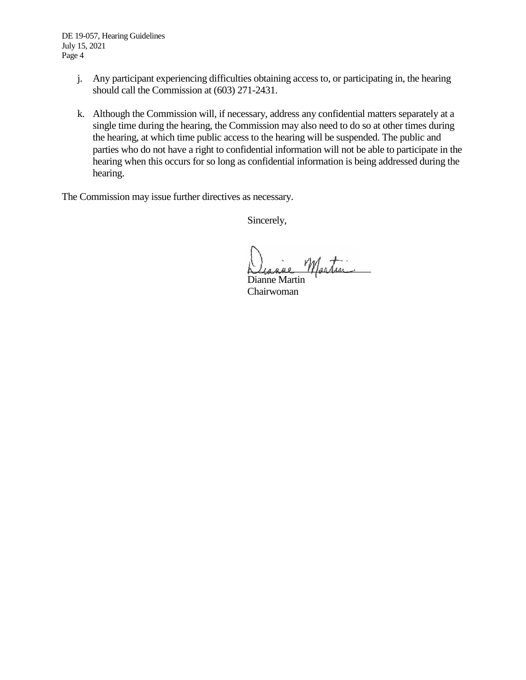DE 19-057, Hearing Guidelines July 15, 2021 Page 4

- j. Any participant experiencing difficulties obtaining access to, or participating in, the hearing should call the Commission at (603) 271-2431.
- k. Although the Commission will, if necessary, address any confidential matters separately at a single time during the hearing, the Commission may also need to do so at other times during the hearing, at which time public access to the hearing will be suspended. The public and parties who do not have a right to confidential information will not be able to participate in the hearing when this occurs for so long as confidential information is being addressed during the hearing.

The Commission may issue further directives as necessary.

Sincerely,

Martin

Dianne Martin Chairwoman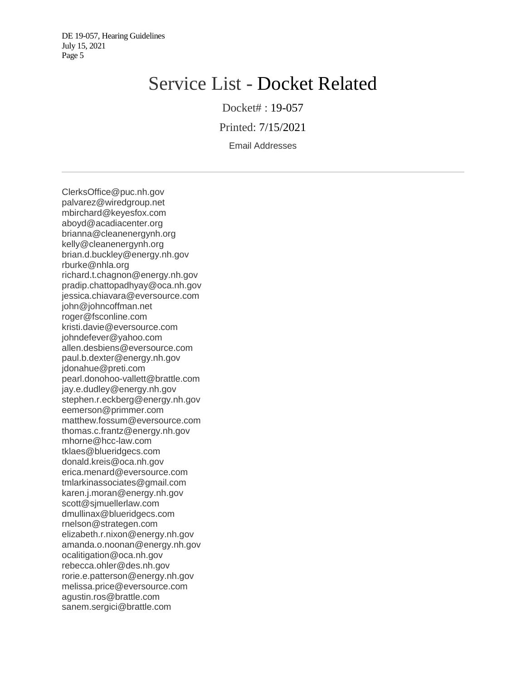# Service List - Docket Related

Docket# : 19-057

Printed: 7/15/2021

Email Addresses

ClerksOffice@puc.nh.gov palvarez@wiredgroup.net mbirchard@keyesfox.com aboyd@acadiacenter.org brianna@cleanenergynh.org kelly@cleanenergynh.org brian.d.buckley@energy.nh.gov rburke@nhla.org richard.t.chagnon@energy.nh.gov pradip.chattopadhyay@oca.nh.gov jessica.chiavara@eversource.com john@johncoffman.net roger@fsconline.com kristi.davie@eversource.com johndefever@yahoo.com allen.desbiens@eversource.com paul.b.dexter@energy.nh.gov jdonahue@preti.com pearl.donohoo-vallett@brattle.com jay.e.dudley@energy.nh.gov stephen.r.eckberg@energy.nh.gov eemerson@primmer.com matthew.fossum@eversource.com thomas.c.frantz@energy.nh.gov mhorne@hcc-law.com tklaes@blueridgecs.com donald.kreis@oca.nh.gov erica.menard@eversource.com tmlarkinassociates@gmail.com karen.j.moran@energy.nh.gov scott@sjmuellerlaw.com dmullinax@blueridgecs.com rnelson@strategen.com elizabeth.r.nixon@energy.nh.gov amanda.o.noonan@energy.nh.gov ocalitigation@oca.nh.gov rebecca.ohler@des.nh.gov rorie.e.patterson@energy.nh.gov melissa.price@eversource.com agustin.ros@brattle.com sanem.sergici@brattle.com